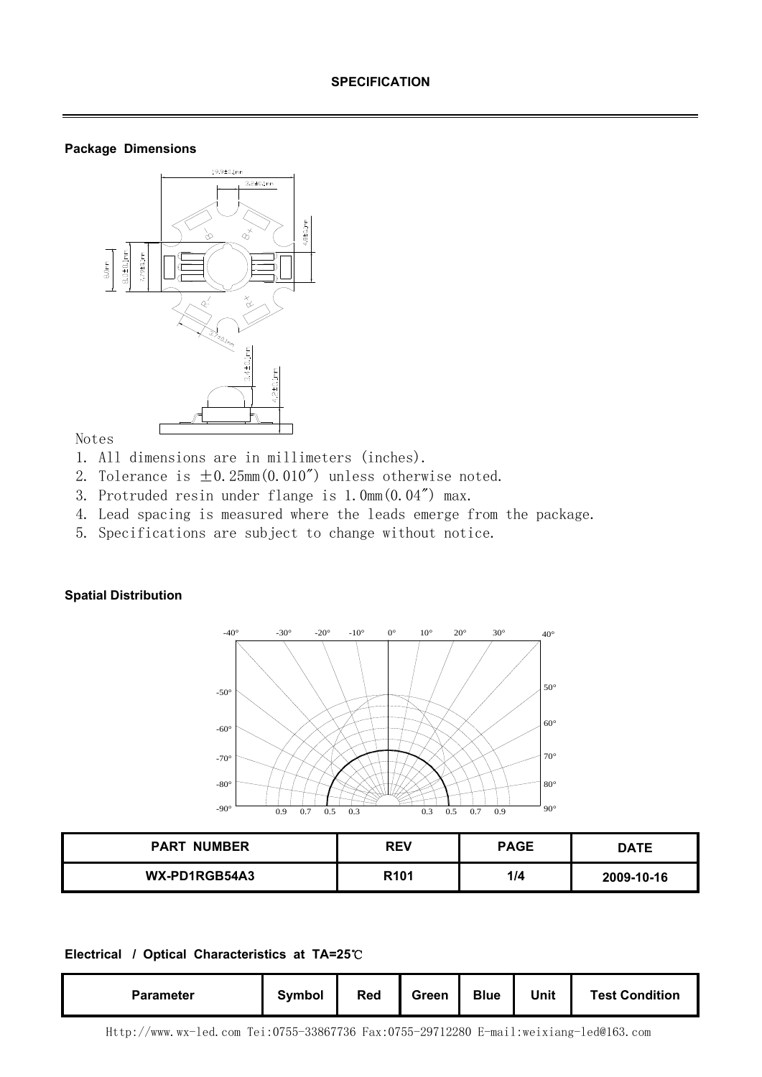## **Package Dimensions**



# Notes

- 1. All dimensions are in millimeters (inches).
- 2. Tolerance is  $\pm 0.25$ mm $(0.010'')$  unless otherwise noted.
- 3. Protruded resin under flange is 1.0mm(0.04") max.
- 4. Lead spacing is measured where the leads emerge from the package.
- 5. Specifications are subject to change without notice.

## **Spatial Distribution**



| <b>PART NUMBER</b> | <b>REV</b>       | <b>PAGE</b> | DATE       |
|--------------------|------------------|-------------|------------|
| WX-PD1RGB54A3      | R <sub>101</sub> | 1/4         | 2009-10-16 |

#### **Electrical / Optical Characteristics at TA=25**℃

| <b>Parameter</b> | Symbol | <b>Red</b> | Green | <b>Blue</b> | <b>Unit</b> | <b>Test Condition</b> |
|------------------|--------|------------|-------|-------------|-------------|-----------------------|
|------------------|--------|------------|-------|-------------|-------------|-----------------------|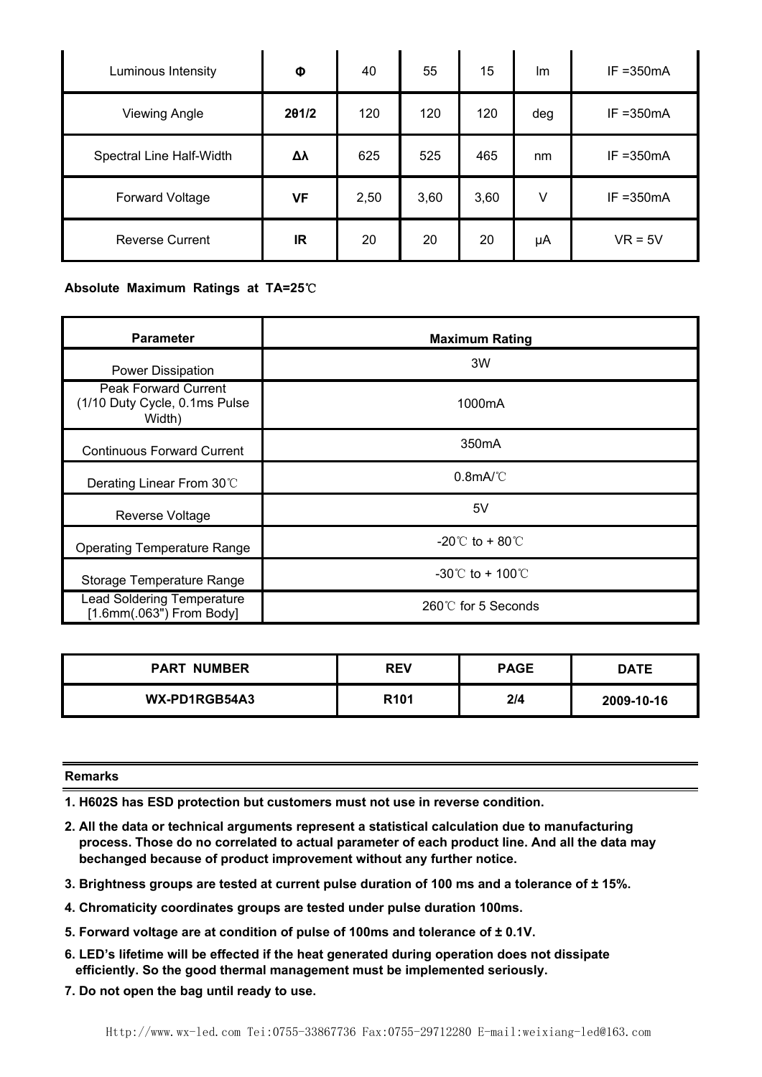| Luminous Intensity       | Φ         | 40   | 55   | 15   | Im  | $IF = 350mA$ |
|--------------------------|-----------|------|------|------|-----|--------------|
| <b>Viewing Angle</b>     | 201/2     | 120  | 120  | 120  | deg | $IF = 350mA$ |
| Spectral Line Half-Width | Δλ        | 625  | 525  | 465  | nm  | $IF = 350mA$ |
| <b>Forward Voltage</b>   | <b>VF</b> | 2,50 | 3,60 | 3,60 | V   | $IF = 350mA$ |
| <b>Reverse Current</b>   | IR        | 20   | 20   | 20   | μA  | $VR = 5V$    |

## **Absolute Maximum Ratings at TA=25**℃

| <b>Parameter</b>                                                       | <b>Maximum Rating</b>                 |
|------------------------------------------------------------------------|---------------------------------------|
| Power Dissipation                                                      | 3W                                    |
| <b>Peak Forward Current</b><br>(1/10 Duty Cycle, 0.1ms Pulse<br>Width) | 1000mA                                |
| <b>Continuous Forward Current</b>                                      | 350 <sub>m</sub> A                    |
| Derating Linear From 30°C                                              | $0.8$ mA/°C                           |
| Reverse Voltage                                                        | 5V                                    |
| <b>Operating Temperature Range</b>                                     | $-20^{\circ}$ to + 80 $^{\circ}$      |
| Storage Temperature Range                                              | $-30^{\circ}$ C to + 100 $^{\circ}$ C |
| <b>Lead Soldering Temperature</b><br>[1.6mm(.063") From Body]          | $260^{\circ}$ for 5 Seconds           |

| <b>PART NUMBER</b> | <b>REV</b>       | <b>PAGE</b> | <b>DATE</b> |
|--------------------|------------------|-------------|-------------|
| WX-PD1RGB54A3      | R <sub>101</sub> | 2/4         | 2009-10-16  |

#### **Remarks**

**1. H602S has ESD protection but customers must not use in reverse condition.** 

- **2. All the data or technical arguments represent a statistical calculation due to manufacturing process. Those do no correlated to actual parameter of each product line. And all the data may bechanged because of product improvement without any further notice.**
- **3. Brightness groups are tested at current pulse duration of 100 ms and a tolerance of ± 15%.**
- **4. Chromaticity coordinates groups are tested under pulse duration 100ms.**
- **5. Forward voltage are at condition of pulse of 100ms and tolerance of ± 0.1V.**
- **6. LED's lifetime will be effected if the heat generated during operation does not dissipate efficiently. So the good thermal management must be implemented seriously.**
- **7. Do not open the bag until ready to use.**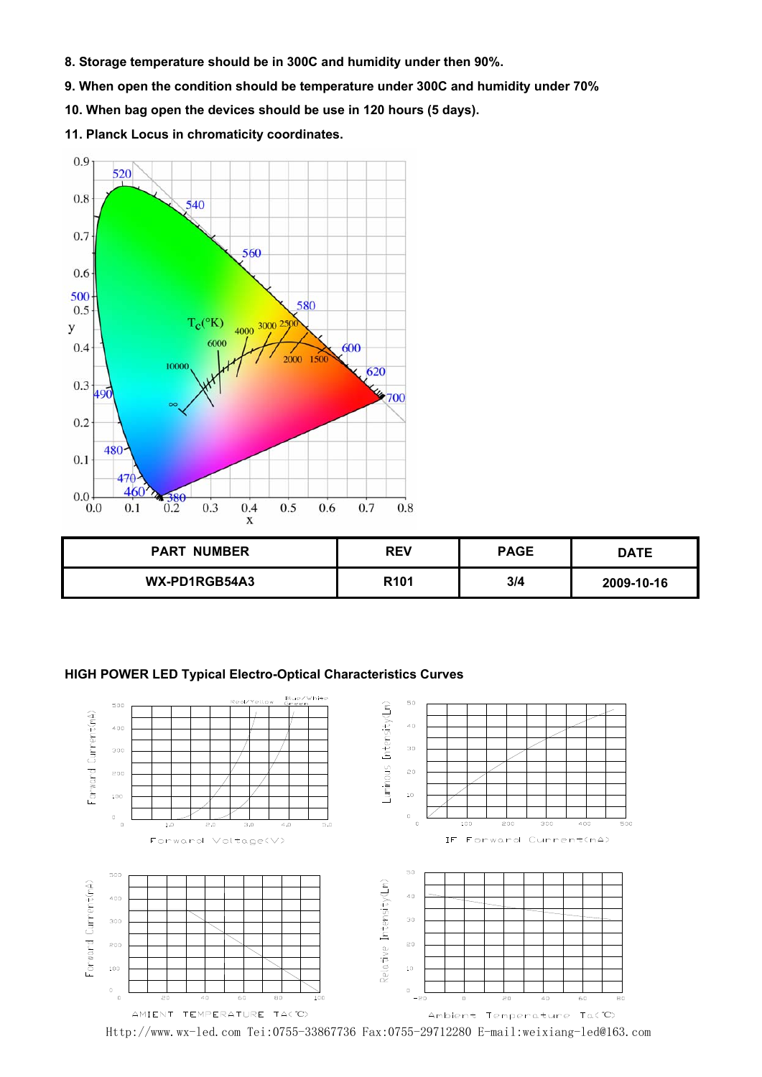- **8. Storage temperature should be in 300C and humidity under then 90%.**
- **9. When open the condition should be temperature under 300C and humidity under 70%**
- **10. When bag open the devices should be use in 120 hours (5 days).**
- **11. Planck Locus in chromaticity coordinates.**



| <b>PART NUMBER</b> | <b>REV</b>       | <b>PAGE</b> | DATE       |
|--------------------|------------------|-------------|------------|
| WX-PD1RGB54A3      | R <sub>101</sub> | 3/4         | 2009-10-16 |

### **HIGH POWER LED Typical Electro-Optical Characteristics Curves**



Http://www.wx-led.com Tei:0755-33867736 Fax:0755-29712280 E-mail:weixiang-led@163.com